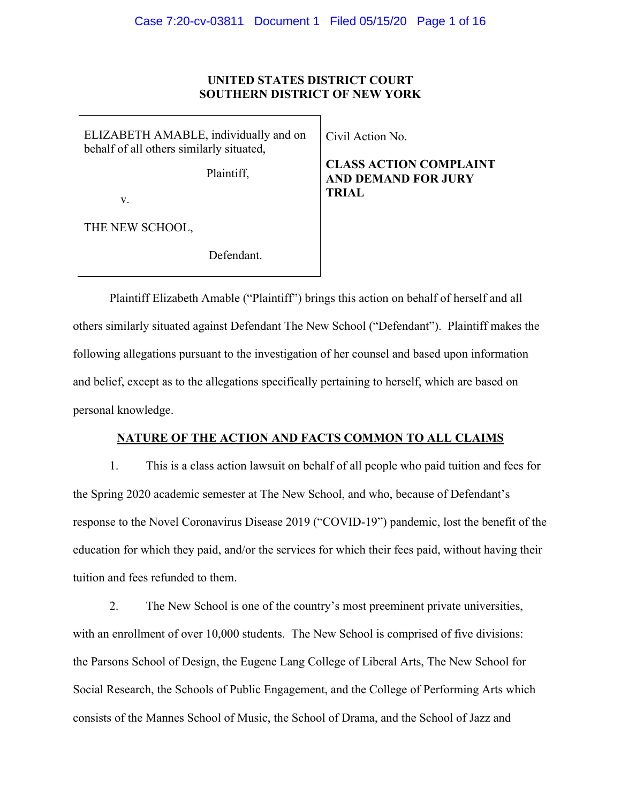# **UNITED STATES DISTRICT COURT SOUTHERN DISTRICT OF NEW YORK**

ELIZABETH AMABLE, individually and on behalf of all others similarly situated,

Plaintiff,

v.

THE NEW SCHOOL,

Defendant.

Civil Action No.

**CLASS ACTION COMPLAINT AND DEMAND FOR JURY TRIAL**

Plaintiff Elizabeth Amable ("Plaintiff") brings this action on behalf of herself and all others similarly situated against Defendant The New School ("Defendant"). Plaintiff makes the following allegations pursuant to the investigation of her counsel and based upon information and belief, except as to the allegations specifically pertaining to herself, which are based on personal knowledge.

# **NATURE OF THE ACTION AND FACTS COMMON TO ALL CLAIMS**

1. This is a class action lawsuit on behalf of all people who paid tuition and fees for the Spring 2020 academic semester at The New School, and who, because of Defendant's response to the Novel Coronavirus Disease 2019 ("COVID-19") pandemic, lost the benefit of the education for which they paid, and/or the services for which their fees paid, without having their tuition and fees refunded to them.

2. The New School is one of the country's most preeminent private universities, with an enrollment of over 10,000 students. The New School is comprised of five divisions: the Parsons School of Design, the Eugene Lang College of Liberal Arts, The New School for Social Research, the Schools of Public Engagement, and the College of Performing Arts which consists of the Mannes School of Music, the School of Drama, and the School of Jazz and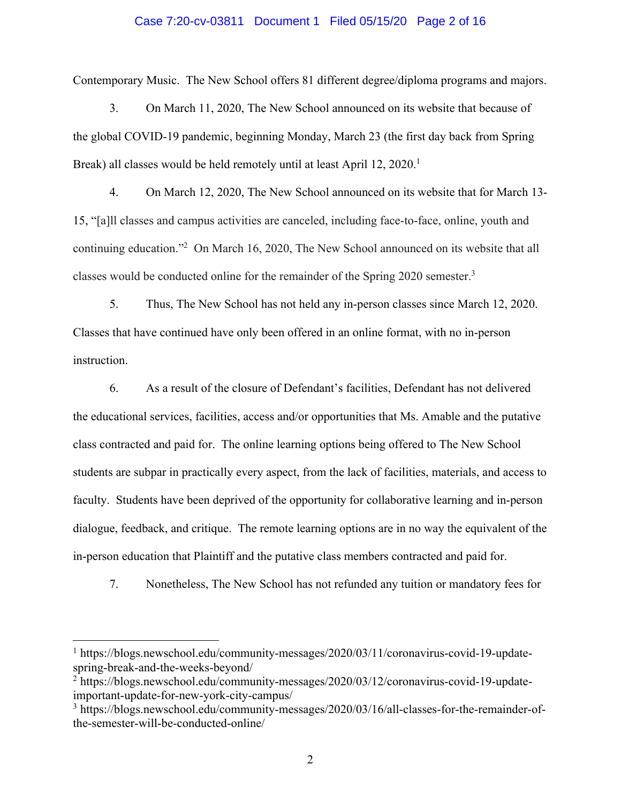### Case 7:20-cv-03811 Document 1 Filed 05/15/20 Page 2 of 16

Contemporary Music. The New School offers 81 different degree/diploma programs and majors.

3. On March 11, 2020, The New School announced on its website that because of the global COVID-19 pandemic, beginning Monday, March 23 (the first day back from Spring Break) all classes would be held remotely until at least April 12, 2020.<sup>1</sup>

4. On March 12, 2020, The New School announced on its website that for March 13- 15, "[a]ll classes and campus activities are canceled, including face-to-face, online, youth and continuing education."2 On March 16, 2020, The New School announced on its website that all classes would be conducted online for the remainder of the Spring 2020 semester.3

5. Thus, The New School has not held any in-person classes since March 12, 2020. Classes that have continued have only been offered in an online format, with no in-person instruction.

6. As a result of the closure of Defendant's facilities, Defendant has not delivered the educational services, facilities, access and/or opportunities that Ms. Amable and the putative class contracted and paid for. The online learning options being offered to The New School students are subpar in practically every aspect, from the lack of facilities, materials, and access to faculty. Students have been deprived of the opportunity for collaborative learning and in-person dialogue, feedback, and critique. The remote learning options are in no way the equivalent of the in-person education that Plaintiff and the putative class members contracted and paid for.

7. Nonetheless, The New School has not refunded any tuition or mandatory fees for

<sup>&</sup>lt;sup>1</sup> https://blogs.newschool.edu/community-messages/2020/03/11/coronavirus-covid-19-updatespring-break-and-the-weeks-beyond/

<sup>2</sup> https://blogs.newschool.edu/community-messages/2020/03/12/coronavirus-covid-19-updateimportant-update-for-new-york-city-campus/

<sup>3</sup> https://blogs.newschool.edu/community-messages/2020/03/16/all-classes-for-the-remainder-ofthe-semester-will-be-conducted-online/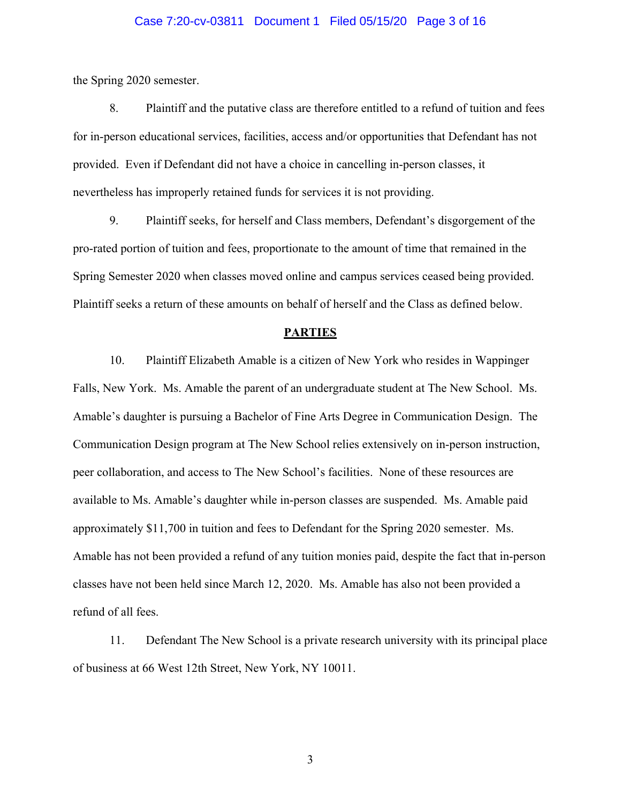### Case 7:20-cv-03811 Document 1 Filed 05/15/20 Page 3 of 16

the Spring 2020 semester.

8. Plaintiff and the putative class are therefore entitled to a refund of tuition and fees for in-person educational services, facilities, access and/or opportunities that Defendant has not provided. Even if Defendant did not have a choice in cancelling in-person classes, it nevertheless has improperly retained funds for services it is not providing.

9. Plaintiff seeks, for herself and Class members, Defendant's disgorgement of the pro-rated portion of tuition and fees, proportionate to the amount of time that remained in the Spring Semester 2020 when classes moved online and campus services ceased being provided. Plaintiff seeks a return of these amounts on behalf of herself and the Class as defined below.

#### **PARTIES**

10. Plaintiff Elizabeth Amable is a citizen of New York who resides in Wappinger Falls, New York. Ms. Amable the parent of an undergraduate student at The New School. Ms. Amable's daughter is pursuing a Bachelor of Fine Arts Degree in Communication Design. The Communication Design program at The New School relies extensively on in-person instruction, peer collaboration, and access to The New School's facilities. None of these resources are available to Ms. Amable's daughter while in-person classes are suspended. Ms. Amable paid approximately \$11,700 in tuition and fees to Defendant for the Spring 2020 semester. Ms. Amable has not been provided a refund of any tuition monies paid, despite the fact that in-person classes have not been held since March 12, 2020. Ms. Amable has also not been provided a refund of all fees.

11. Defendant The New School is a private research university with its principal place of business at 66 West 12th Street, New York, NY 10011.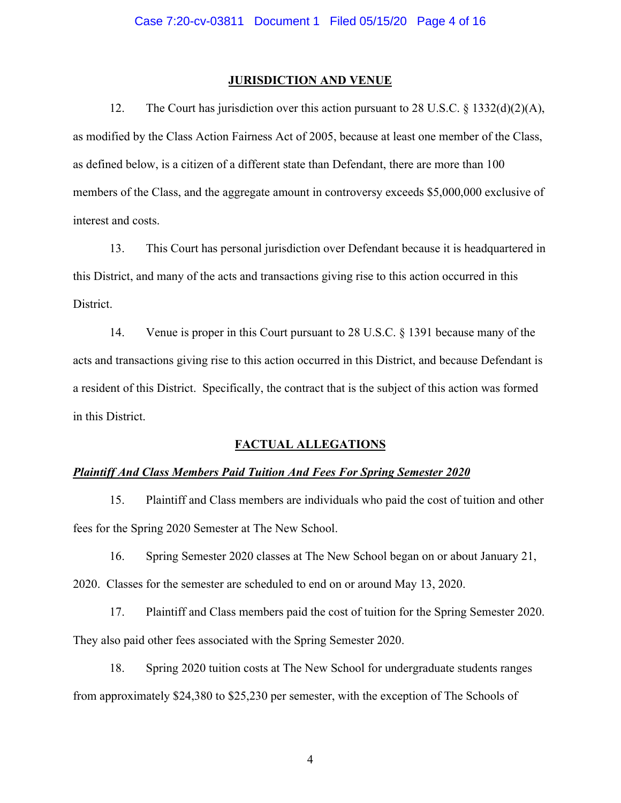#### **JURISDICTION AND VENUE**

12. The Court has jurisdiction over this action pursuant to 28 U.S.C.  $\S$  1332(d)(2)(A), as modified by the Class Action Fairness Act of 2005, because at least one member of the Class, as defined below, is a citizen of a different state than Defendant, there are more than 100 members of the Class, and the aggregate amount in controversy exceeds \$5,000,000 exclusive of interest and costs.

13. This Court has personal jurisdiction over Defendant because it is headquartered in this District, and many of the acts and transactions giving rise to this action occurred in this District.

14. Venue is proper in this Court pursuant to 28 U.S.C. § 1391 because many of the acts and transactions giving rise to this action occurred in this District, and because Defendant is a resident of this District. Specifically, the contract that is the subject of this action was formed in this District.

#### **FACTUAL ALLEGATIONS**

### *Plaintiff And Class Members Paid Tuition And Fees For Spring Semester 2020*

15. Plaintiff and Class members are individuals who paid the cost of tuition and other fees for the Spring 2020 Semester at The New School.

16. Spring Semester 2020 classes at The New School began on or about January 21, 2020. Classes for the semester are scheduled to end on or around May 13, 2020.

17. Plaintiff and Class members paid the cost of tuition for the Spring Semester 2020. They also paid other fees associated with the Spring Semester 2020.

18. Spring 2020 tuition costs at The New School for undergraduate students ranges from approximately \$24,380 to \$25,230 per semester, with the exception of The Schools of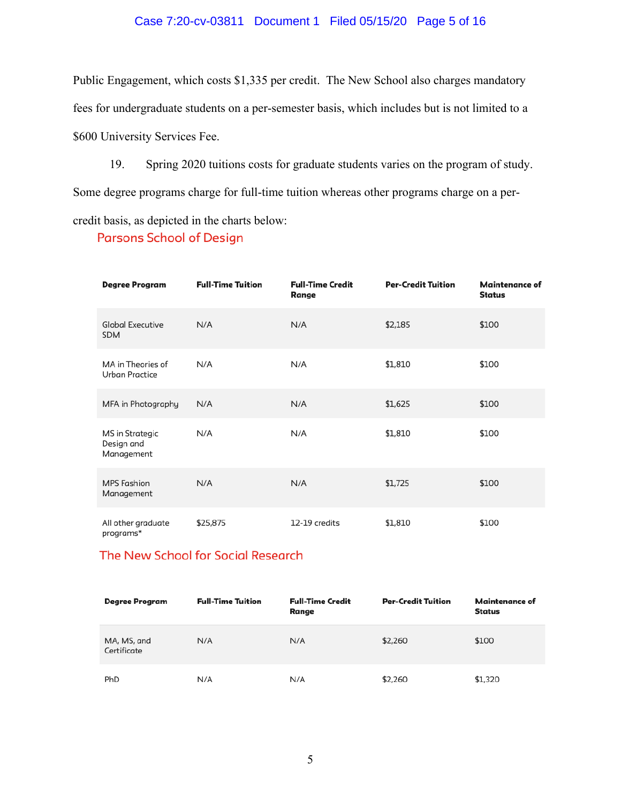# Case 7:20-cv-03811 Document 1 Filed 05/15/20 Page 5 of 16

Public Engagement, which costs \$1,335 per credit. The New School also charges mandatory fees for undergraduate students on a per-semester basis, which includes but is not limited to a \$600 University Services Fee.

19. Spring 2020 tuitions costs for graduate students varies on the program of study.

Some degree programs charge for full-time tuition whereas other programs charge on a per-

credit basis, as depicted in the charts below:

**Parsons School of Design** 

| Degree Program                              | <b>Full-Time Tuition</b> | <b>Full-Time Credit</b><br>Range | <b>Per-Credit Tuition</b> | <b>Maintenance of</b><br><b>Status</b> |
|---------------------------------------------|--------------------------|----------------------------------|---------------------------|----------------------------------------|
| <b>Global Executive</b><br><b>SDM</b>       | N/A                      | N/A                              | \$2,185                   | \$100                                  |
| MA in Theories of<br>Urban Practice         | N/A                      | N/A                              | \$1,810                   | \$100                                  |
| MFA in Photography                          | N/A                      | N/A                              | \$1,625                   | \$100                                  |
| MS in Strategic<br>Design and<br>Management | N/A                      | N/A                              | \$1,810                   | \$100                                  |
| <b>MPS Fashion</b><br>Management            | N/A                      | N/A                              | \$1,725                   | \$100                                  |
| All other graduate<br>programs*             | \$25,875                 | 12-19 credits                    | \$1,810                   | \$100                                  |

# The New School for Social Research

| Degree Program             | <b>Full-Time Tuition</b> | <b>Full-Time Credit</b><br>Range | <b>Per-Credit Tuition</b> | Maintenance of<br>Status |
|----------------------------|--------------------------|----------------------------------|---------------------------|--------------------------|
| MA, MS, and<br>Certificate | N/A                      | N/A                              | \$2,260                   | \$100                    |
| PhD                        | N/A                      | N/A                              | \$2,260                   | \$1,320                  |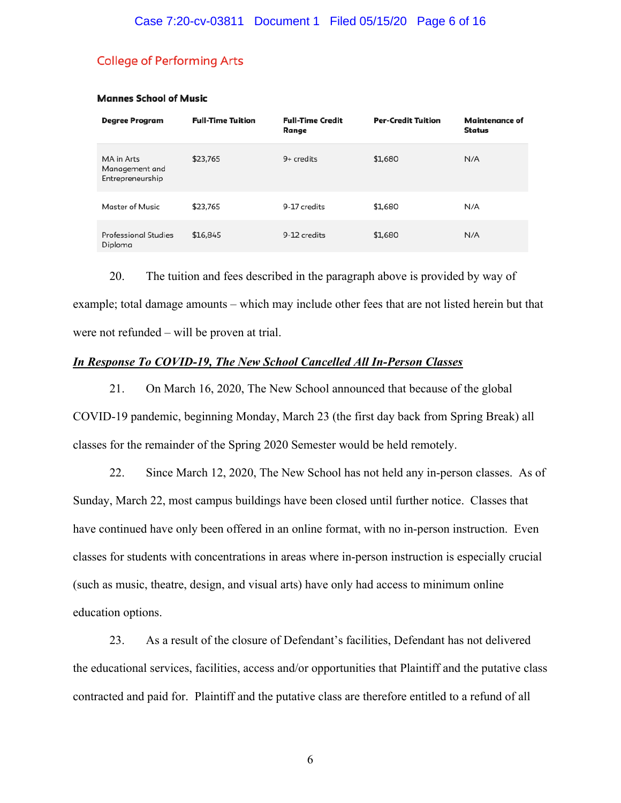# **College of Performing Arts**

| <b>Degree Program</b>                            | <b>Full-Time Tuition</b> | <b>Full-Time Credit</b><br>Range | <b>Per-Credit Tuition</b> | Maintenance of<br>Status |
|--------------------------------------------------|--------------------------|----------------------------------|---------------------------|--------------------------|
| MA in Arts<br>Management and<br>Entrepreneurship | \$23,765                 | $9+$ credits                     | \$1,680                   | N/A                      |
| Master of Music                                  | \$23,765                 | 9-17 credits                     | \$1,680                   | N/A                      |
| <b>Professional Studies</b><br>Diploma           | \$16,845                 | 9-12 credits                     | \$1,680                   | N/A                      |

#### **Mannes School of Music**

20. The tuition and fees described in the paragraph above is provided by way of example; total damage amounts – which may include other fees that are not listed herein but that were not refunded – will be proven at trial.

# *In Response To COVID-19, The New School Cancelled All In-Person Classes*

21. On March 16, 2020, The New School announced that because of the global COVID-19 pandemic, beginning Monday, March 23 (the first day back from Spring Break) all classes for the remainder of the Spring 2020 Semester would be held remotely.

22. Since March 12, 2020, The New School has not held any in-person classes. As of Sunday, March 22, most campus buildings have been closed until further notice. Classes that have continued have only been offered in an online format, with no in-person instruction. Even classes for students with concentrations in areas where in-person instruction is especially crucial (such as music, theatre, design, and visual arts) have only had access to minimum online education options.

23. As a result of the closure of Defendant's facilities, Defendant has not delivered the educational services, facilities, access and/or opportunities that Plaintiff and the putative class contracted and paid for. Plaintiff and the putative class are therefore entitled to a refund of all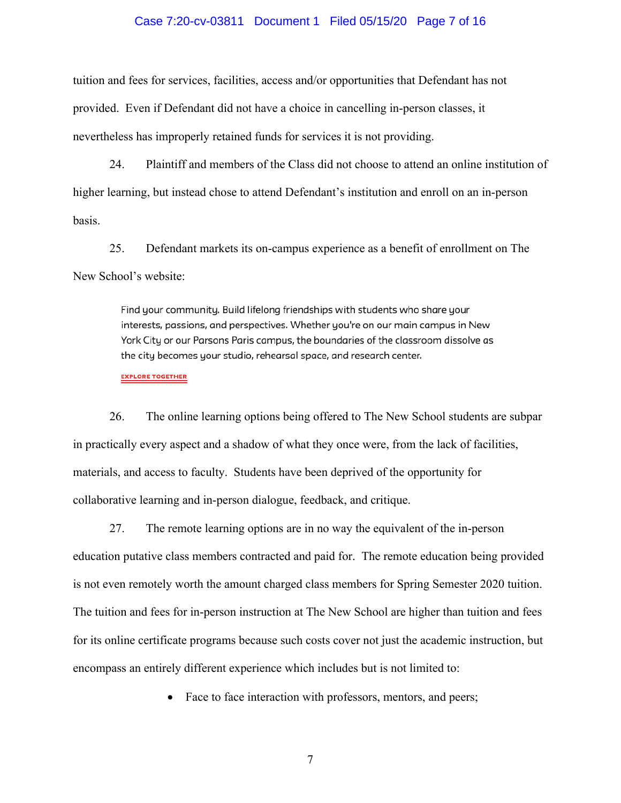### Case 7:20-cv-03811 Document 1 Filed 05/15/20 Page 7 of 16

tuition and fees for services, facilities, access and/or opportunities that Defendant has not provided. Even if Defendant did not have a choice in cancelling in-person classes, it nevertheless has improperly retained funds for services it is not providing.

24. Plaintiff and members of the Class did not choose to attend an online institution of higher learning, but instead chose to attend Defendant's institution and enroll on an in-person basis.

25. Defendant markets its on-campus experience as a benefit of enrollment on The New School's website:

> Find your community. Build lifelong friendships with students who share your interests, passions, and perspectives. Whether you're on our main campus in New York City or our Parsons Paris campus, the boundaries of the classroom dissolve as the city becomes your studio, rehearsal space, and research center.

**EXPLORE TOGETHER** 

26. The online learning options being offered to The New School students are subpar in practically every aspect and a shadow of what they once were, from the lack of facilities, materials, and access to faculty. Students have been deprived of the opportunity for collaborative learning and in-person dialogue, feedback, and critique.

27. The remote learning options are in no way the equivalent of the in-person education putative class members contracted and paid for. The remote education being provided is not even remotely worth the amount charged class members for Spring Semester 2020 tuition. The tuition and fees for in-person instruction at The New School are higher than tuition and fees for its online certificate programs because such costs cover not just the academic instruction, but encompass an entirely different experience which includes but is not limited to:

• Face to face interaction with professors, mentors, and peers;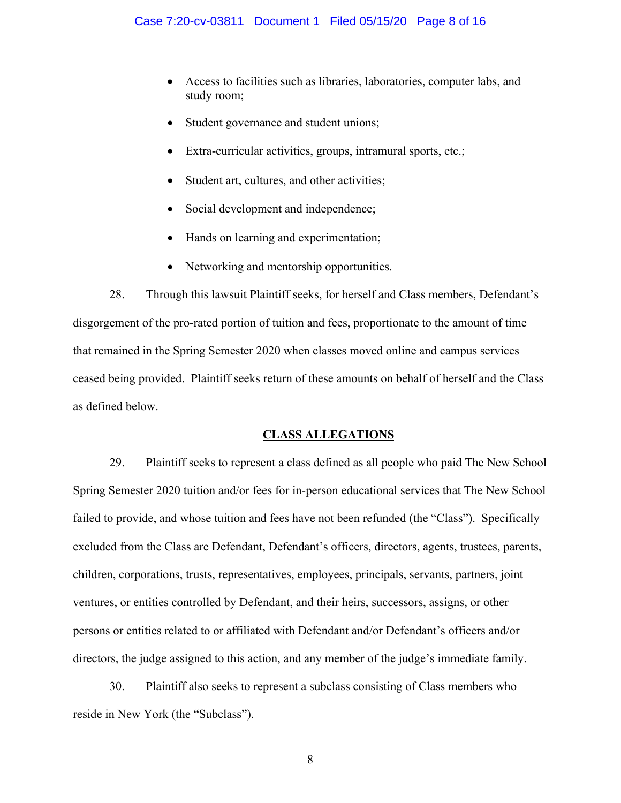- Access to facilities such as libraries, laboratories, computer labs, and study room;
- Student governance and student unions;
- Extra-curricular activities, groups, intramural sports, etc.;
- Student art, cultures, and other activities;
- Social development and independence;
- Hands on learning and experimentation;
- Networking and mentorship opportunities.

28. Through this lawsuit Plaintiff seeks, for herself and Class members, Defendant's disgorgement of the pro-rated portion of tuition and fees, proportionate to the amount of time that remained in the Spring Semester 2020 when classes moved online and campus services ceased being provided. Plaintiff seeks return of these amounts on behalf of herself and the Class as defined below.

# **CLASS ALLEGATIONS**

29. Plaintiff seeks to represent a class defined as all people who paid The New School Spring Semester 2020 tuition and/or fees for in-person educational services that The New School failed to provide, and whose tuition and fees have not been refunded (the "Class"). Specifically excluded from the Class are Defendant, Defendant's officers, directors, agents, trustees, parents, children, corporations, trusts, representatives, employees, principals, servants, partners, joint ventures, or entities controlled by Defendant, and their heirs, successors, assigns, or other persons or entities related to or affiliated with Defendant and/or Defendant's officers and/or directors, the judge assigned to this action, and any member of the judge's immediate family.

30. Plaintiff also seeks to represent a subclass consisting of Class members who reside in New York (the "Subclass").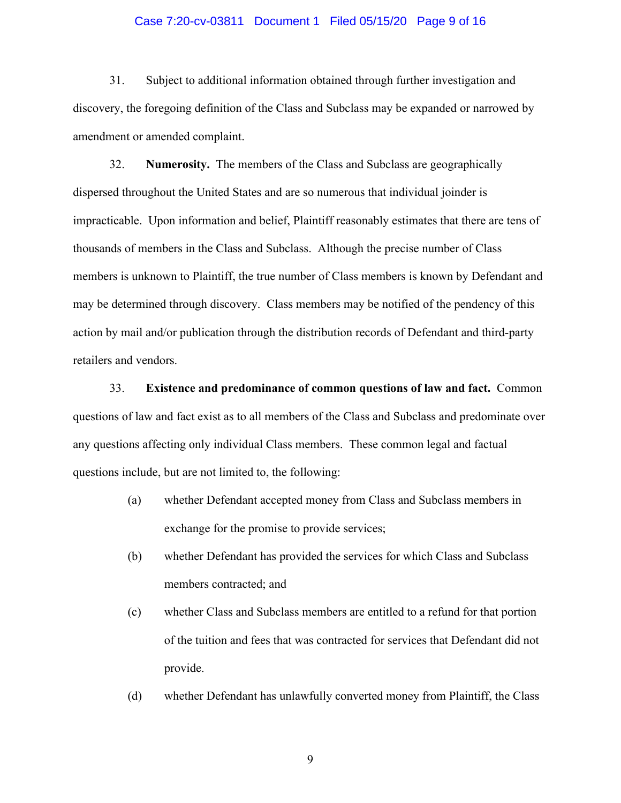### Case 7:20-cv-03811 Document 1 Filed 05/15/20 Page 9 of 16

31. Subject to additional information obtained through further investigation and discovery, the foregoing definition of the Class and Subclass may be expanded or narrowed by amendment or amended complaint.

32. **Numerosity.** The members of the Class and Subclass are geographically dispersed throughout the United States and are so numerous that individual joinder is impracticable. Upon information and belief, Plaintiff reasonably estimates that there are tens of thousands of members in the Class and Subclass. Although the precise number of Class members is unknown to Plaintiff, the true number of Class members is known by Defendant and may be determined through discovery. Class members may be notified of the pendency of this action by mail and/or publication through the distribution records of Defendant and third-party retailers and vendors.

33. **Existence and predominance of common questions of law and fact.** Common questions of law and fact exist as to all members of the Class and Subclass and predominate over any questions affecting only individual Class members. These common legal and factual questions include, but are not limited to, the following:

- (a) whether Defendant accepted money from Class and Subclass members in exchange for the promise to provide services;
- (b) whether Defendant has provided the services for which Class and Subclass members contracted; and
- (c) whether Class and Subclass members are entitled to a refund for that portion of the tuition and fees that was contracted for services that Defendant did not provide.
- (d) whether Defendant has unlawfully converted money from Plaintiff, the Class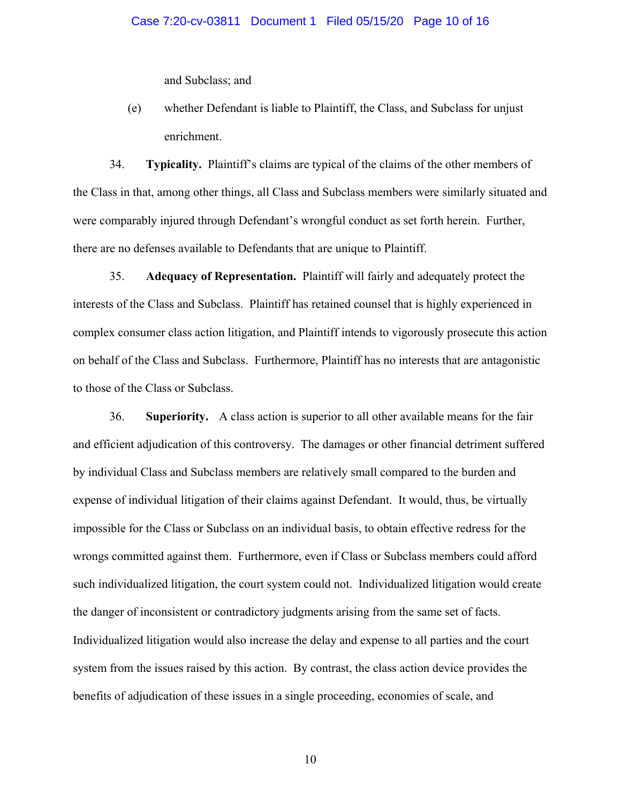and Subclass; and

(e) whether Defendant is liable to Plaintiff, the Class, and Subclass for unjust enrichment.

34. **Typicality.** Plaintiff's claims are typical of the claims of the other members of the Class in that, among other things, all Class and Subclass members were similarly situated and were comparably injured through Defendant's wrongful conduct as set forth herein. Further, there are no defenses available to Defendants that are unique to Plaintiff.

35. **Adequacy of Representation.** Plaintiff will fairly and adequately protect the interests of the Class and Subclass. Plaintiff has retained counsel that is highly experienced in complex consumer class action litigation, and Plaintiff intends to vigorously prosecute this action on behalf of the Class and Subclass. Furthermore, Plaintiff has no interests that are antagonistic to those of the Class or Subclass.

36. **Superiority.** A class action is superior to all other available means for the fair and efficient adjudication of this controversy. The damages or other financial detriment suffered by individual Class and Subclass members are relatively small compared to the burden and expense of individual litigation of their claims against Defendant. It would, thus, be virtually impossible for the Class or Subclass on an individual basis, to obtain effective redress for the wrongs committed against them. Furthermore, even if Class or Subclass members could afford such individualized litigation, the court system could not. Individualized litigation would create the danger of inconsistent or contradictory judgments arising from the same set of facts. Individualized litigation would also increase the delay and expense to all parties and the court system from the issues raised by this action. By contrast, the class action device provides the benefits of adjudication of these issues in a single proceeding, economies of scale, and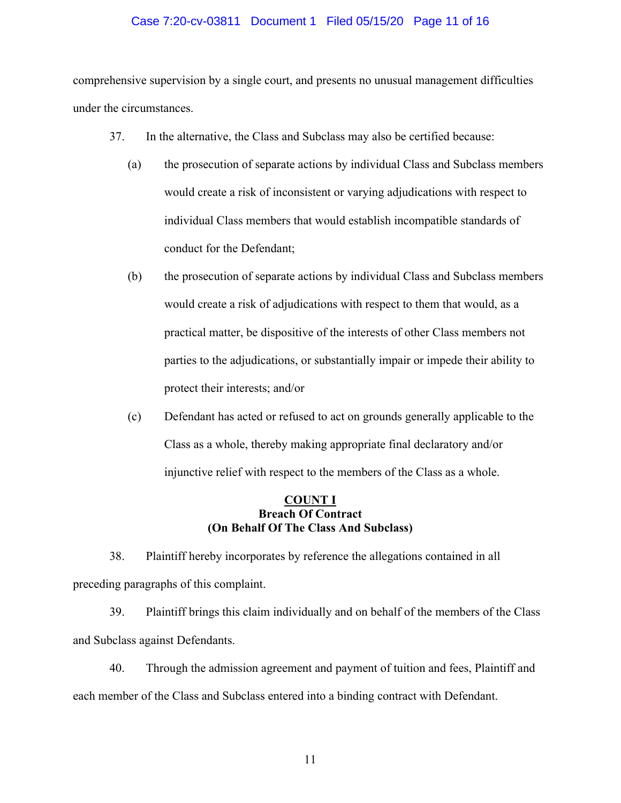## Case 7:20-cv-03811 Document 1 Filed 05/15/20 Page 11 of 16

comprehensive supervision by a single court, and presents no unusual management difficulties under the circumstances.

- 37. In the alternative, the Class and Subclass may also be certified because:
	- (a) the prosecution of separate actions by individual Class and Subclass members would create a risk of inconsistent or varying adjudications with respect to individual Class members that would establish incompatible standards of conduct for the Defendant;
	- (b) the prosecution of separate actions by individual Class and Subclass members would create a risk of adjudications with respect to them that would, as a practical matter, be dispositive of the interests of other Class members not parties to the adjudications, or substantially impair or impede their ability to protect their interests; and/or
	- (c) Defendant has acted or refused to act on grounds generally applicable to the Class as a whole, thereby making appropriate final declaratory and/or injunctive relief with respect to the members of the Class as a whole.

## **COUNT I Breach Of Contract (On Behalf Of The Class And Subclass)**

38. Plaintiff hereby incorporates by reference the allegations contained in all preceding paragraphs of this complaint.

39. Plaintiff brings this claim individually and on behalf of the members of the Class and Subclass against Defendants.

40. Through the admission agreement and payment of tuition and fees, Plaintiff and each member of the Class and Subclass entered into a binding contract with Defendant.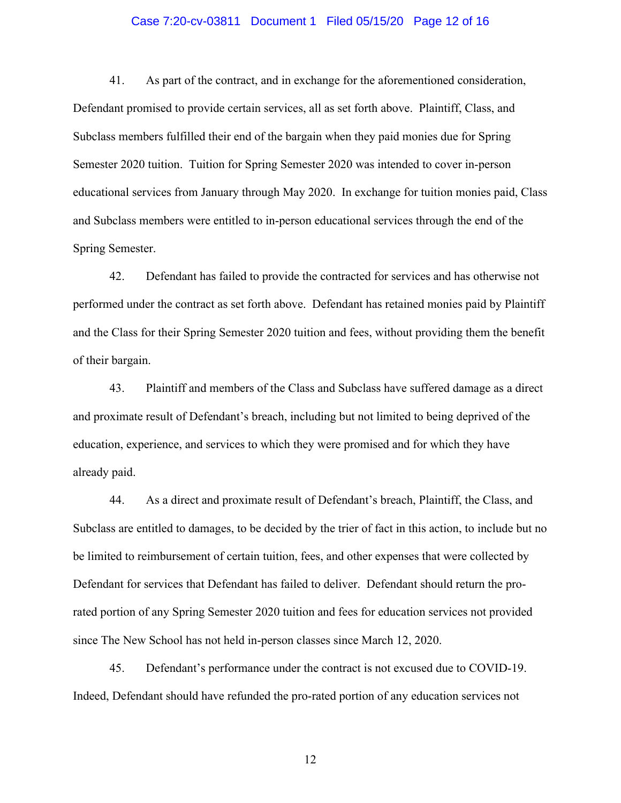### Case 7:20-cv-03811 Document 1 Filed 05/15/20 Page 12 of 16

41. As part of the contract, and in exchange for the aforementioned consideration, Defendant promised to provide certain services, all as set forth above. Plaintiff, Class, and Subclass members fulfilled their end of the bargain when they paid monies due for Spring Semester 2020 tuition. Tuition for Spring Semester 2020 was intended to cover in-person educational services from January through May 2020. In exchange for tuition monies paid, Class and Subclass members were entitled to in-person educational services through the end of the Spring Semester.

42. Defendant has failed to provide the contracted for services and has otherwise not performed under the contract as set forth above. Defendant has retained monies paid by Plaintiff and the Class for their Spring Semester 2020 tuition and fees, without providing them the benefit of their bargain.

43. Plaintiff and members of the Class and Subclass have suffered damage as a direct and proximate result of Defendant's breach, including but not limited to being deprived of the education, experience, and services to which they were promised and for which they have already paid.

44. As a direct and proximate result of Defendant's breach, Plaintiff, the Class, and Subclass are entitled to damages, to be decided by the trier of fact in this action, to include but no be limited to reimbursement of certain tuition, fees, and other expenses that were collected by Defendant for services that Defendant has failed to deliver. Defendant should return the prorated portion of any Spring Semester 2020 tuition and fees for education services not provided since The New School has not held in-person classes since March 12, 2020.

45. Defendant's performance under the contract is not excused due to COVID-19. Indeed, Defendant should have refunded the pro-rated portion of any education services not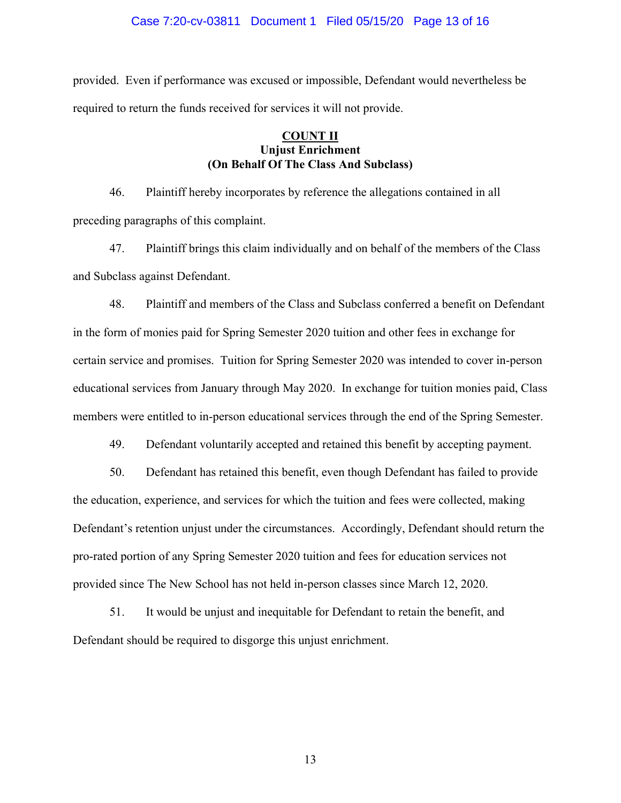## Case 7:20-cv-03811 Document 1 Filed 05/15/20 Page 13 of 16

provided. Even if performance was excused or impossible, Defendant would nevertheless be required to return the funds received for services it will not provide.

# **COUNT II Unjust Enrichment (On Behalf Of The Class And Subclass)**

46. Plaintiff hereby incorporates by reference the allegations contained in all preceding paragraphs of this complaint.

47. Plaintiff brings this claim individually and on behalf of the members of the Class and Subclass against Defendant.

48. Plaintiff and members of the Class and Subclass conferred a benefit on Defendant in the form of monies paid for Spring Semester 2020 tuition and other fees in exchange for certain service and promises. Tuition for Spring Semester 2020 was intended to cover in-person educational services from January through May 2020. In exchange for tuition monies paid, Class members were entitled to in-person educational services through the end of the Spring Semester.

49. Defendant voluntarily accepted and retained this benefit by accepting payment.

50. Defendant has retained this benefit, even though Defendant has failed to provide the education, experience, and services for which the tuition and fees were collected, making Defendant's retention unjust under the circumstances. Accordingly, Defendant should return the pro-rated portion of any Spring Semester 2020 tuition and fees for education services not provided since The New School has not held in-person classes since March 12, 2020.

51. It would be unjust and inequitable for Defendant to retain the benefit, and Defendant should be required to disgorge this unjust enrichment.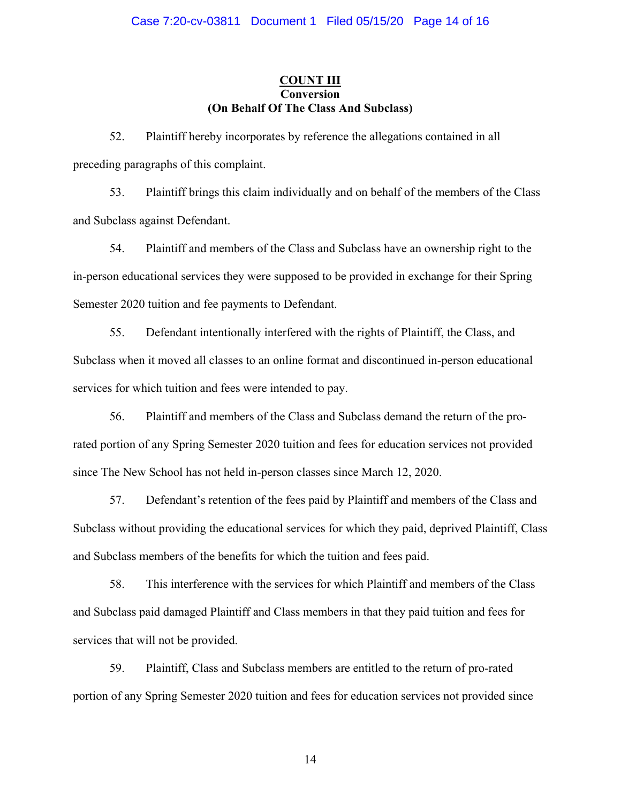## **COUNT III Conversion (On Behalf Of The Class And Subclass)**

52. Plaintiff hereby incorporates by reference the allegations contained in all preceding paragraphs of this complaint.

53. Plaintiff brings this claim individually and on behalf of the members of the Class and Subclass against Defendant.

54. Plaintiff and members of the Class and Subclass have an ownership right to the in-person educational services they were supposed to be provided in exchange for their Spring Semester 2020 tuition and fee payments to Defendant.

55. Defendant intentionally interfered with the rights of Plaintiff, the Class, and Subclass when it moved all classes to an online format and discontinued in-person educational services for which tuition and fees were intended to pay.

56. Plaintiff and members of the Class and Subclass demand the return of the prorated portion of any Spring Semester 2020 tuition and fees for education services not provided since The New School has not held in-person classes since March 12, 2020.

57. Defendant's retention of the fees paid by Plaintiff and members of the Class and Subclass without providing the educational services for which they paid, deprived Plaintiff, Class and Subclass members of the benefits for which the tuition and fees paid.

58. This interference with the services for which Plaintiff and members of the Class and Subclass paid damaged Plaintiff and Class members in that they paid tuition and fees for services that will not be provided.

59. Plaintiff, Class and Subclass members are entitled to the return of pro-rated portion of any Spring Semester 2020 tuition and fees for education services not provided since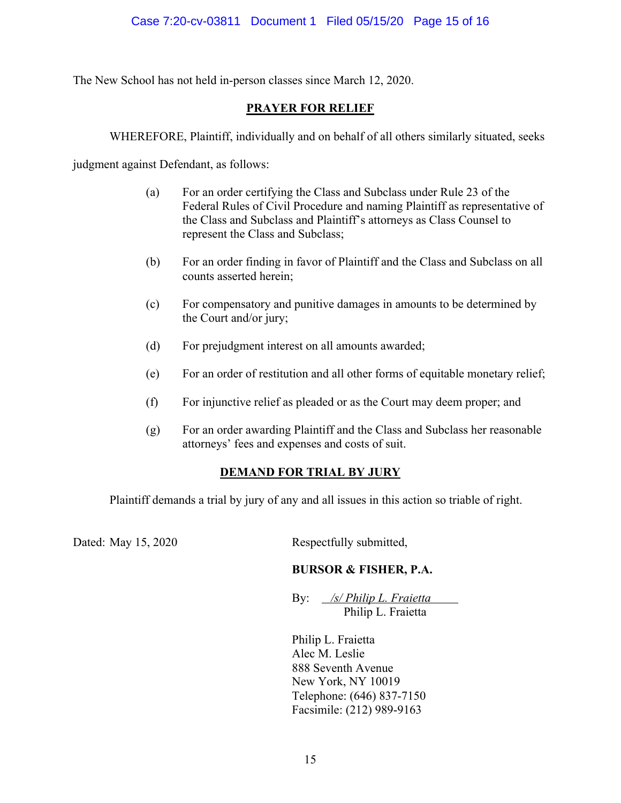The New School has not held in-person classes since March 12, 2020.

# **PRAYER FOR RELIEF**

WHEREFORE, Plaintiff, individually and on behalf of all others similarly situated, seeks

judgment against Defendant, as follows:

- (a) For an order certifying the Class and Subclass under Rule 23 of the Federal Rules of Civil Procedure and naming Plaintiff as representative of the Class and Subclass and Plaintiff's attorneys as Class Counsel to represent the Class and Subclass;
- (b) For an order finding in favor of Plaintiff and the Class and Subclass on all counts asserted herein;
- (c) For compensatory and punitive damages in amounts to be determined by the Court and/or jury;
- (d) For prejudgment interest on all amounts awarded;
- (e) For an order of restitution and all other forms of equitable monetary relief;
- (f) For injunctive relief as pleaded or as the Court may deem proper; and
- (g) For an order awarding Plaintiff and the Class and Subclass her reasonable attorneys' fees and expenses and costs of suit.

# **DEMAND FOR TRIAL BY JURY**

Plaintiff demands a trial by jury of any and all issues in this action so triable of right.

Dated: May 15, 2020 Respectfully submitted,

# **BURSOR & FISHER, P.A.**

By: */s/ Philip L. Fraietta* Philip L. Fraietta

Philip L. Fraietta Alec M. Leslie 888 Seventh Avenue New York, NY 10019 Telephone: (646) 837-7150 Facsimile: (212) 989-9163